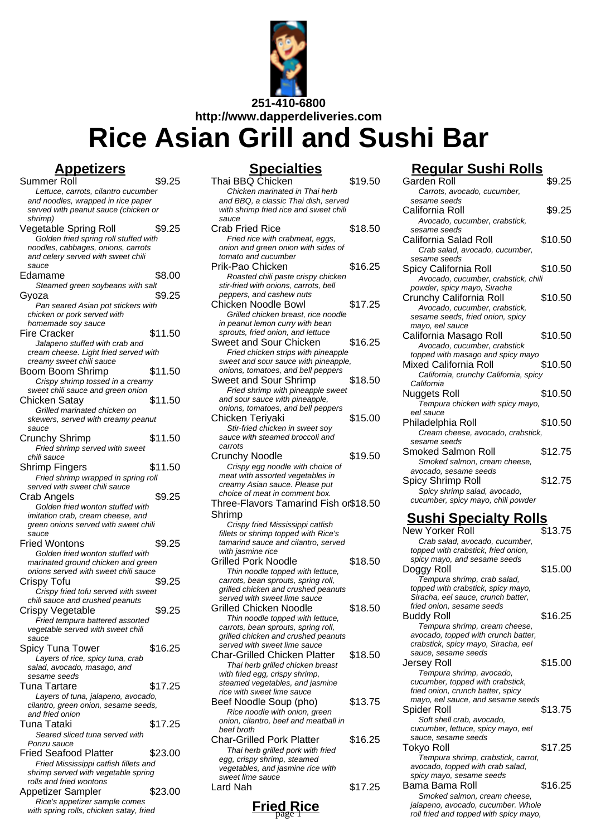

# **Rice Asian Grill and Sushi Bar**

**Appetizers** Summer Roll \$9.25 Lettuce, carrots, cilantro cucumber and noodles, wrapped in rice paper served with peanut sauce (chicken or shrimp) Vegetable Spring Roll \$9.25 Golden fried spring roll stuffed with noodles, cabbages, onions, carrots and celery served with sweet chili sauce Edamame \$8.00 Steamed green soybeans with salt Gyoza \$9.25 Pan seared Asian pot stickers with chicken or pork served with homemade soy sauce Fire Cracker \$11.50 Jalapeno stuffed with crab and cream cheese. Light fried served with creamy sweet chili sauce Boom Boom Shrimp \$11.50 Crispy shrimp tossed in a creamy sweet chili sauce and green onion Chicken Satay \$11.50 Grilled marinated chicken on skewers, served with creamy peanut sauce Crunchy Shrimp \$11.50 Fried shrimp served with sweet chili sauce Shrimp Fingers \$11.50 Fried shrimp wrapped in spring roll served with sweet chili sauce Crab Angels \$9.25 Golden fried wonton stuffed with imitation crab, cream cheese, and green onions served with sweet chili  $s$ auce Fried Wontons \$9.25 Golden fried wonton stuffed with marinated ground chicken and green onions served with sweet chili sauce Crispy Tofu  $$9.25$ Crispy fried tofu served with sweet chili sauce and crushed peanuts Crispy Vegetable \$9.25 Fried tempura battered assorted vegetable served with sweet chili sauce Spicy Tuna Tower \$16.25 Layers of rice, spicy tuna, crab salad, avocado, masago, and sesame seeds Tuna Tartare \$17.25 Layers of tuna, jalapeno, avocado, cilantro, green onion, sesame seeds, and fried onion Tuna Tataki **\$17.25** Seared sliced tuna served with Ponzu sauce Fried Seafood Platter \$23.00 Fried Mississippi catfish fillets and shrimp served with vegetable spring rolls and fried wontons Appetizer Sampler \$23.00

Rice's appetizer sample comes with spring rolls, chicken satay, fried

| <u>Specialties</u>                                                             |         |
|--------------------------------------------------------------------------------|---------|
| Thai BBQ Chicken                                                               | \$19.50 |
| Chicken marinated in Thai herb                                                 |         |
| and BBQ, a classic Thai dish, served<br>with shrimp fried rice and sweet chili |         |
| sauce                                                                          |         |
| Crab Fried Rice                                                                | \$18.50 |
| Fried rice with crabmeat, eggs,                                                |         |
| onion and green onion with sides of                                            |         |
| tomato and cucumber<br>Prik-Pao Chicken                                        | \$16.25 |
| Roasted chili paste crispy chicken                                             |         |
| stir-fried with onions, carrots, bell                                          |         |
| peppers, and cashew nuts<br>Chicken Noodle Bowl                                | \$17.25 |
| Grilled chicken breast, rice noodle                                            |         |
| in peanut lemon curry with bean                                                |         |
| sprouts, fried onion, and lettuce                                              |         |
| Sweet and Sour Chicken                                                         | \$16.25 |
| Fried chicken strips with pineapple                                            |         |
| sweet and sour sauce with pineapple,<br>onions, tomatoes, and bell peppers     |         |
| Sweet and Sour Shrimp                                                          | \$18.50 |
| Fried shrimp with pineapple sweet                                              |         |
| and sour sauce with pineapple,                                                 |         |
| onions, tomatoes, and bell peppers                                             |         |
| Chicken Teriyaki                                                               | \$15.00 |
| Stir-fried chicken in sweet soy<br>sauce with steamed broccoli and             |         |
| carrots                                                                        |         |
| <b>Crunchy Noodle</b>                                                          | \$19.50 |
| Crispy egg noodle with choice of                                               |         |
| meat with assorted vegetables in                                               |         |
| creamy Asian sauce. Please put<br>choice of meat in comment box.               |         |
| Three-Flavors Tamarind Fish or\$18.50                                          |         |
| Shrimp                                                                         |         |
| Crispy fried Mississippi catfish                                               |         |
| fillets or shrimp topped with Rice's                                           |         |
| tamarind sauce and cilantro, served                                            |         |
| with jasmine rice<br><b>Grilled Pork Noodle</b>                                | \$18.50 |
| Thin noodle topped with lettuce,                                               |         |
| carrots, bean sprouts, spring roll,                                            |         |
| grilled chicken and crushed peanuts                                            |         |
| served with sweet lime sauce<br><b>Grilled Chicken Noodle</b>                  |         |
| Thin noodle topped with lettuce,                                               | \$18.50 |
| carrots, bean sprouts, spring roll,                                            |         |
| grilled chicken and crushed peanuts                                            |         |
| served with sweet lime sauce                                                   |         |
| <b>Char-Grilled Chicken Platter</b>                                            | \$18.50 |
| Thai herb grilled chicken breast<br>with fried egg, crispy shrimp,             |         |
| steamed vegetables, and jasmine                                                |         |
| rice with sweet lime sauce                                                     |         |
| Beef Noodle Soup (pho)                                                         | \$13.75 |
| Rice noodle with onion, green                                                  |         |
| onion, cilantro, beef and meatball in<br>beef broth                            |         |
| <b>Char-Grilled Pork Platter</b>                                               | \$16.25 |
| Thai herb grilled pork with fried                                              |         |
| egg, crispy shrimp, steamed                                                    |         |
| vegetables, and jasmine rice with                                              |         |
| sweet lime sauce<br>Lard Nah                                                   | \$17.25 |
|                                                                                |         |

# **Regular Sushi Rolls**

| Garden Roll                                                       | \$9.25  |
|-------------------------------------------------------------------|---------|
| Carrots, avocado, cucumber,                                       |         |
| sesame seeds                                                      |         |
| California Roll                                                   | \$9.25  |
| Avocado, cucumber, crabstick,                                     |         |
| sesame seeds                                                      |         |
| California Salad Roll                                             | \$10.50 |
| Crab salad, avocado, cucumber,                                    |         |
| sesame seeds                                                      |         |
| Spicy California Roll                                             | \$10.50 |
| Avocado, cucumber, crabstick, chili                               |         |
| powder, spicy mayo, Siracha                                       |         |
| Crunchy California Roll                                           | \$10.50 |
| Avocado, cucumber, crabstick,                                     |         |
| sesame seeds, fried onion, spicy                                  |         |
| mayo, eel sauce                                                   |         |
| California Masago Roll                                            | \$10.50 |
| Avocado, cucumber, crabstick<br>topped with masago and spicy mayo |         |
| <b>Mixed California Roll</b>                                      | \$10.50 |
| California, crunchy California, spicy                             |         |
| California                                                        |         |
| <b>Nuggets Roll</b>                                               | \$10.50 |
| Tempura chicken with spicy mayo,                                  |         |
| eel sauce                                                         |         |
| Philadelphia Roll                                                 | \$10.50 |
| Cream cheese, avocado, crabstick,                                 |         |
| sesame seeds                                                      |         |
| Smoked Salmon Roll                                                | \$12.75 |
| Smoked salmon, cream cheese,                                      |         |
| avocado, sesame seeds                                             |         |
| Spicy Shrimp Roll                                                 | \$12.75 |
|                                                                   |         |
| Spicy shrimp salad, avocado,                                      |         |
| cucumber, spicy mayo, chili powder                                |         |
|                                                                   |         |
| <u>Sushi Specialty Rolls</u>                                      |         |
| New Yorker Roll                                                   | \$13.75 |
| Crab salad, avocado, cucumber,                                    |         |
| topped with crabstick, fried onion,                               |         |
| spicy mayo, and sesame seeds                                      |         |
| Doggy Roll                                                        | \$15.00 |
| Tempura shrimp, crab salad,                                       |         |
| topped with crabstick, spicy mayo,                                |         |
| Siracha, eel sauce, crunch batter,                                |         |
| fried onion, sesame seeds                                         |         |
| <b>Buddy Roll</b>                                                 | \$16.25 |
| Tempura shrimp, cream cheese,                                     |         |
| avocado, topped with crunch batter,                               |         |
| crabstick, spicy mayo, Siracha, eel<br>sauce, sesame seeds        |         |
|                                                                   | \$15.00 |
| Jersey Roll<br>Tempura shrimp, avocado,                           |         |
| cucumber, topped with crabstick,                                  |         |
| fried onion, crunch batter, spicy                                 |         |
| mayo, eel sauce, and sesame seeds                                 |         |
| Spider Roll                                                       | \$13.75 |
| Soft shell crab, avocado,                                         |         |
| cucumber, lettuce, spicy mayo, eel                                |         |
| sauce, sesame seeds                                               |         |
| <b>Tokyo Roll</b>                                                 | \$17.25 |
| Tempura shrimp, crabstick, carrot,                                |         |
| avocado, topped with crab salad,                                  |         |
| spicy mayo, sesame seeds                                          |         |
| Bama Bama Roll<br>Smoked salmon, cream cheese,                    | \$16.25 |

roll fried and topped with spicy mayo,

**Fried**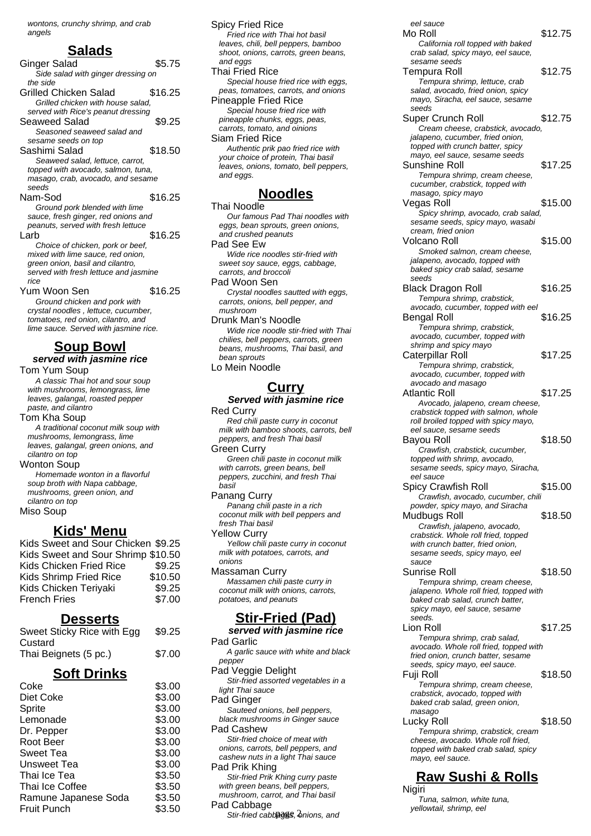wontons, crunchy shrimp, and crab angels

#### **Salads**

Ginger Salad \$5.75 Side salad with ginger dressing on the side Grilled Chicken Salad \$16.25 Grilled chicken with house salad, served with Rice's peanut dressing Seaweed Salad \$9.25 Seasoned seaweed salad and sesame seeds on top Sashimi Salad \$18.50 Seaweed salad, lettuce, carrot, topped with avocado, salmon, tuna, masago, crab, avocado, and sesame seeds Nam-Sod \$16.25 Ground pork blended with lime sauce, fresh ginger, red onions and peanuts, served with fresh lettuce Larb \$16.25 Choice of chicken, pork or beef, mixed with lime sauce, red onion, green onion, basil and cilantro, served with fresh lettuce and jasmine rice Yum Woon Sen \$16.25 Ground chicken and pork with crystal noodles , lettuce, cucumber, tomatoes, red onion, cilantro, and lime sauce. Served with jasmine rice. **Soup Bowl served with jasmine rice** Tom Yum Soup A classic Thai hot and sour soup with mushrooms, lemongrass, lime leaves, galangal, roasted pepper paste, and cilantro Tom Kha Soup A traditional coconut milk soup with mushrooms, lemongrass, lime

leaves, galangal, green onions, and cilantro on top Wonton Soup

Homemade wonton in a flavorful soup broth with Napa cabbage, mushrooms, green onion, and cilantro on top Miso Soup

#### **Kids' Menu**

| Kids Sweet and Sour Chicken \$9.25 |         |
|------------------------------------|---------|
| Kids Sweet and Sour Shrimp \$10.50 |         |
| Kids Chicken Fried Rice            | \$9.25  |
| <b>Kids Shrimp Fried Rice</b>      | \$10.50 |
| Kids Chicken Teriyaki              | \$9.25  |
| <b>French Fries</b>                | \$7.00  |
|                                    |         |

#### **Desserts**

| Sweet Sticky Rice with Egg | \$9.25 |
|----------------------------|--------|
| Custard                    |        |
| Thai Beignets (5 pc.)      | \$7.00 |

#### **Soft Drinks**

| Coke                 | \$3.00 |
|----------------------|--------|
| Diet Coke            | \$3.00 |
| Sprite               | \$3.00 |
| Lemonade             | \$3.00 |
| Dr. Pepper           | \$3.00 |
| Root Beer            | \$3.00 |
| Sweet Tea            | \$3.00 |
| Unsweet Tea          | \$3.00 |
| Thai Ice Tea         | \$3.50 |
| Thai Ice Coffee      | \$3.50 |
| Ramune Japanese Soda | \$3.50 |
| <b>Fruit Punch</b>   | \$3.50 |

Spicy Fried Rice Fried rice with Thai hot basil leaves, chili, bell peppers, bamboo shoot, onions, carrots, green beans, and eggs Thai Fried Rice Special house fried rice with eggs, peas, tomatoes, carrots, and onions Pineapple Fried Rice Special house fried rice with pineapple chunks, eggs, peas, carrots, tomato, and oinions Siam Fried Rice Authentic prik pao fried rice with your choice of protein, Thai basil leaves, onions, tomato, bell peppers, and eggs.

### **Noodles**

Thai Noodle Our famous Pad Thai noodles with eggs, bean sprouts, green onions, and crushed peanuts Pad See Ew Wide rice noodles stir-fried with sweet soy sauce, eggs, cabbage, carrots, and broccoli Pad Woon Sen Crystal noodles sautted with eggs, carrots, onions, bell pepper, and mushroom Drunk Man's Noodle Wide rice noodle stir-fried with Thai chilies, bell peppers, carrots, green

beans, mushrooms, Thai basil, and bean sprouts Lo Mein Noodle

### **Curry**

#### **Served with jasmine rice** Red Curry

Red chili paste curry in coconut milk with bamboo shoots, carrots, bell peppers, and fresh Thai basil Green Curry

Green chili paste in coconut milk with carrots, green beans, bell peppers, zucchini, and fresh Thai basil

Panang Curry Panang chili paste in a rich coconut milk with bell peppers and fresh Thai basil

Yellow Curry Yellow chili paste curry in coconut milk with potatoes, carrots, and onions

Massaman Curry Massamen chili paste curry in coconut milk with onions, carrots, potatoes, and peanuts

## **Stir-Fried (Pad)**

**served with jasmine rice** Pad Garlic A garlic sauce with white and black pepper Pad Veggie Delight Stir-fried assorted vegetables in a light Thai sauce Pad Ginger Sauteed onions, bell peppers, black mushrooms in Ginger sauce Pad Cashew Stir-fried choice of meat with onions, carrots, bell peppers, and cashew nuts in a light Thai sauce Pad Prik Khing Stir-fried Prik Khing curry paste with green beans, bell peppers, mushroom, carrot, and Thai basil Pad Cabbage

Stir-fried cabbages, 2nions, and

eel sauce Mo Roll \$12.75 California roll topped with baked crab salad, spicy mayo, eel sauce, sesame seeds Tempura Roll \$12.75 Tempura shrimp, lettuce, crab salad, avocado, fried onion, spicy mayo, Siracha, eel sauce, sesame seeds Super Crunch Roll \$12.75 Cream cheese, crabstick, avocado, jalapeno, cucumber, fried onion, topped with crunch batter, spicy mayo, eel sauce, sesame seeds Sunshine Roll \$17.25 Tempura shrimp, cream cheese, cucumber, crabstick, topped with masago, spicy mayo Vegas Roll \$15.00 Spicy shrimp, avocado, crab salad, sesame seeds, spicy mayo, wasabi cream, fried onion Volcano Roll \$15.00 Smoked salmon, cream cheese, jalapeno, avocado, topped with baked spicy crab salad, sesame seeds Black Dragon Roll \$16.25 Tempura shrimp, crabstick, avocado, cucumber, topped with eel Bengal Roll \$16.25 Tempura shrimp, crabstick, avocado, cucumber, topped with shrimp and spicy mayo Caterpillar Roll \$17.25 Tempura shrimp, crabstick, avocado, cucumber, topped with avocado and masago Atlantic Roll \$17.25 Avocado, jalapeno, cream cheese, crabstick topped with salmon, whole roll broiled topped with spicy mayo, eel sauce, sesame seeds Bayou Roll \$18.50 Crawfish, crabstick, cucumber, topped with shrimp, avocado, sesame seeds, spicy mayo, Siracha, eel sauce Spicy Crawfish Roll \$15.00 Crawfish, avocado, cucumber, chili powder, spicy mayo, and Siracha Mudbugs Roll \$18.50 Crawfish, jalapeno, avocado, crabstick. Whole roll fried, topped with crunch batter, fried onion, sesame seeds, spicy mayo, eel sauce Sunrise Roll \$18.50 Tempura shrimp, cream cheese, jalapeno. Whole roll fried, topped with baked crab salad, crunch batter, spicy mayo, eel sauce, sesame seeds. Lion Roll \$17.25 Tempura shrimp, crab salad, avocado. Whole roll fried, topped with fried onion, crunch batter, sesame seeds, spicy mayo, eel sauce. Fuji Roll \$18.50 Tempura shrimp, cream cheese, crabstick, avocado, topped with baked crab salad, green onion, masago Lucky Roll \$18.50 Tempura shrimp, crabstick, cream cheese, avocado. Whole roll fried, topped with baked crab salad, spicy mayo, eel sauce.

# **Raw Sushi & Rolls**

**Nigiri** Tuna, salmon, white tuna, yellowtail, shrimp, eel